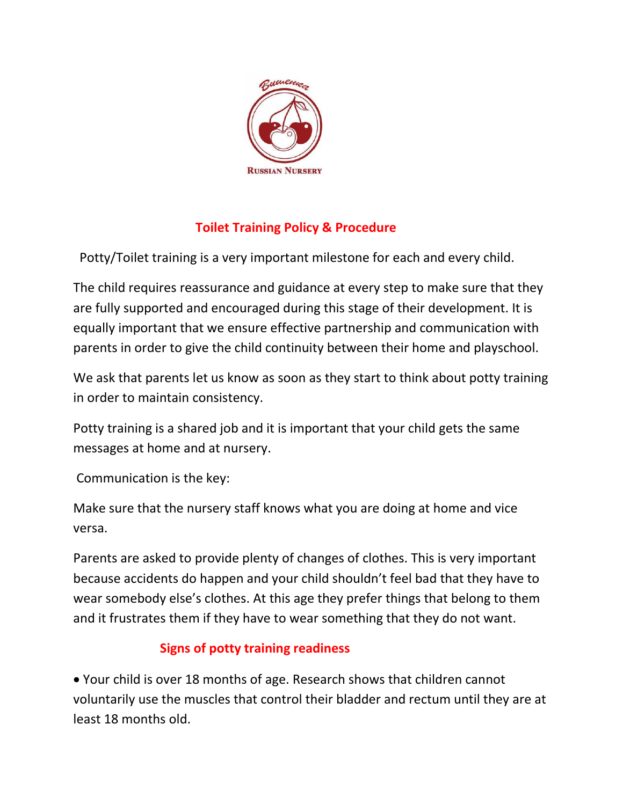

## **Toilet Training Policy & Procedure**

Potty/Toilet training is a very important milestone for each and every child.

The child requires reassurance and guidance at every step to make sure that they are fully supported and encouraged during this stage of their development. It is equally important that we ensure effective partnership and communication with parents in order to give the child continuity between their home and playschool.

We ask that parents let us know as soon as they start to think about potty training in order to maintain consistency.

Potty training is a shared job and it is important that your child gets the same messages at home and at nursery.

Communication is the key:

Make sure that the nursery staff knows what you are doing at home and vice versa.

Parents are asked to provide plenty of changes of clothes. This is very important because accidents do happen and your child shouldn't feel bad that they have to wear somebody else's clothes. At this age they prefer things that belong to them and it frustrates them if they have to wear something that they do not want.

## **Signs of potty training readiness**

• Your child is over 18 months of age. Research shows that children cannot voluntarily use the muscles that control their bladder and rectum until they are at least 18 months old.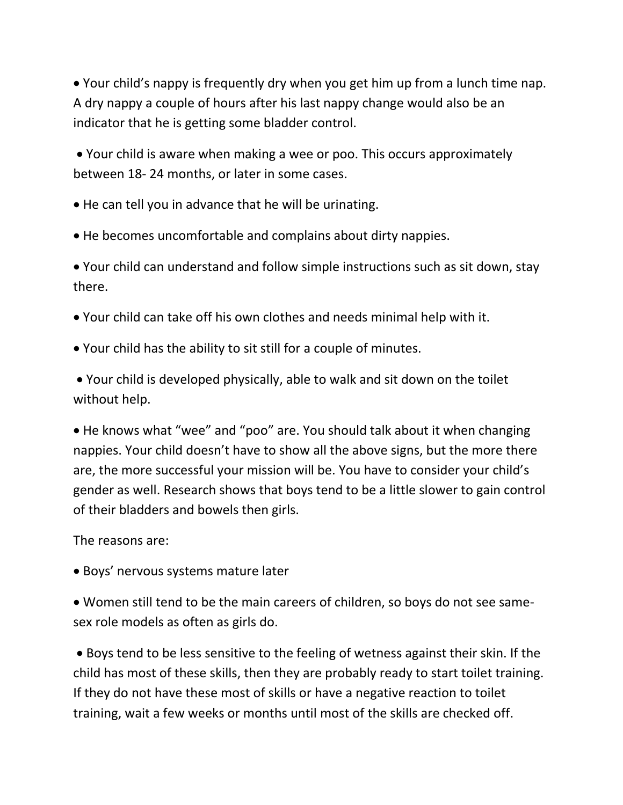• Your child's nappy is frequently dry when you get him up from a lunch time nap. A dry nappy a couple of hours after his last nappy change would also be an indicator that he is getting some bladder control.

• Your child is aware when making a wee or poo. This occurs approximately between 18- 24 months, or later in some cases.

• He can tell you in advance that he will be urinating.

• He becomes uncomfortable and complains about dirty nappies.

• Your child can understand and follow simple instructions such as sit down, stay there.

- Your child can take off his own clothes and needs minimal help with it.
- Your child has the ability to sit still for a couple of minutes.

• Your child is developed physically, able to walk and sit down on the toilet without help.

• He knows what "wee" and "poo" are. You should talk about it when changing nappies. Your child doesn't have to show all the above signs, but the more there are, the more successful your mission will be. You have to consider your child's gender as well. Research shows that boys tend to be a little slower to gain control of their bladders and bowels then girls.

The reasons are:

• Boys' nervous systems mature later

• Women still tend to be the main careers of children, so boys do not see samesex role models as often as girls do.

• Boys tend to be less sensitive to the feeling of wetness against their skin. If the child has most of these skills, then they are probably ready to start toilet training. If they do not have these most of skills or have a negative reaction to toilet training, wait a few weeks or months until most of the skills are checked off.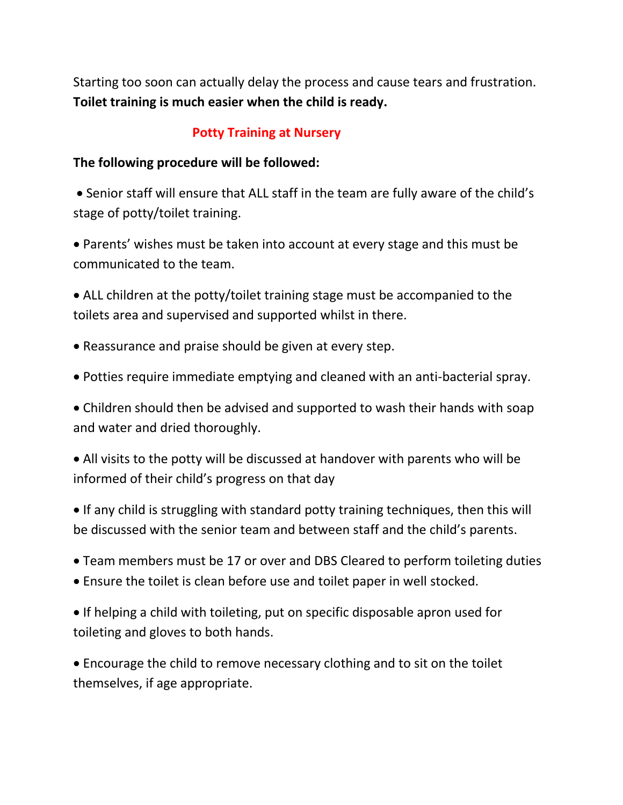Starting too soon can actually delay the process and cause tears and frustration. **Toilet training is much easier when the child is ready.**

## **Potty Training at Nursery**

## **The following procedure will be followed:**

• Senior staff will ensure that ALL staff in the team are fully aware of the child's stage of potty/toilet training.

• Parents' wishes must be taken into account at every stage and this must be communicated to the team.

• ALL children at the potty/toilet training stage must be accompanied to the toilets area and supervised and supported whilst in there.

- Reassurance and praise should be given at every step.
- Potties require immediate emptying and cleaned with an anti-bacterial spray.

• Children should then be advised and supported to wash their hands with soap and water and dried thoroughly.

• All visits to the potty will be discussed at handover with parents who will be informed of their child's progress on that day

• If any child is struggling with standard potty training techniques, then this will be discussed with the senior team and between staff and the child's parents.

- Team members must be 17 or over and DBS Cleared to perform toileting duties
- Ensure the toilet is clean before use and toilet paper in well stocked.

• If helping a child with toileting, put on specific disposable apron used for toileting and gloves to both hands.

• Encourage the child to remove necessary clothing and to sit on the toilet themselves, if age appropriate.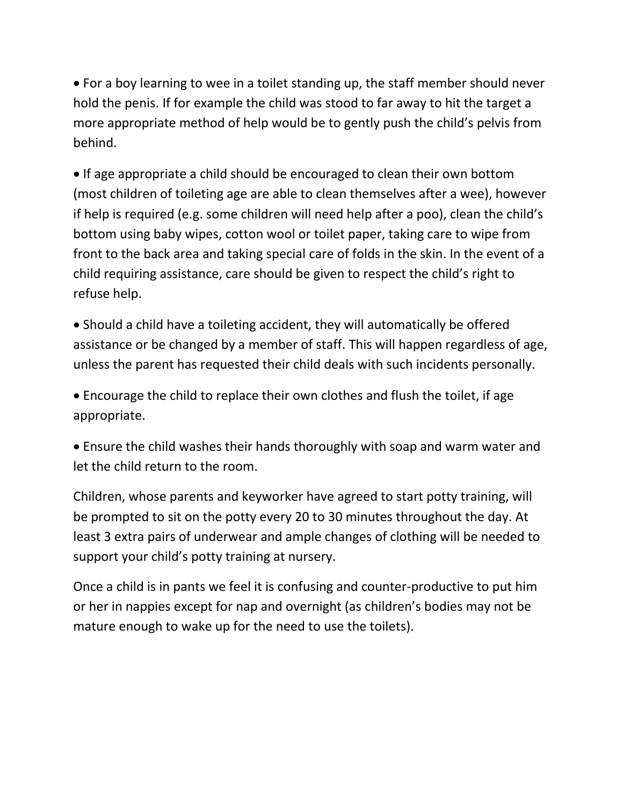• For a boy learning to wee in a toilet standing up, the staff member should never hold the penis. If for example the child was stood to far away to hit the target a more appropriate method of help would be to gently push the child's pelvis from behind.

• If age appropriate a child should be encouraged to clean their own bottom (most children of toileting age are able to clean themselves after a wee), however if help is required (e.g. some children will need help after a poo), clean the child's bottom using baby wipes, cotton wool or toilet paper, taking care to wipe from front to the back area and taking special care of folds in the skin. In the event of a child requiring assistance, care should be given to respect the child's right to refuse help.

• Should a child have a toileting accident, they will automatically be offered assistance or be changed by a member of staff. This will happen regardless of age, unless the parent has requested their child deals with such incidents personally.

• Encourage the child to replace their own clothes and flush the toilet, if age appropriate.

• Ensure the child washes their hands thoroughly with soap and warm water and let the child return to the room.

Children, whose parents and keyworker have agreed to start potty training, will be prompted to sit on the potty every 20 to 30 minutes throughout the day. At least 3 extra pairs of underwear and ample changes of clothing will be needed to support your child's potty training at nursery.

Once a child is in pants we feel it is confusing and counter-productive to put him or her in nappies except for nap and overnight (as children's bodies may not be mature enough to wake up for the need to use the toilets).